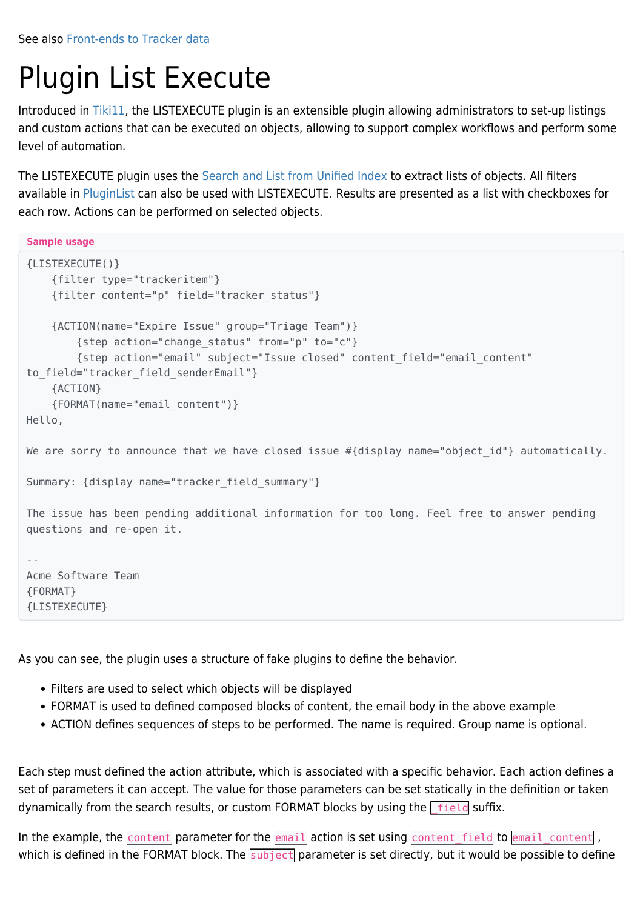See also [Front-ends to Tracker data](https://doc.tiki.org/Front-ends-to-Tracker-data)

# Plugin List Execute

Introduced in [Tiki11,](https://doc.tiki.org/Tiki11) the LISTEXECUTE plugin is an extensible plugin allowing administrators to set-up listings and custom actions that can be executed on objects, allowing to support complex workflows and perform some level of automation.

The LISTEXECUTE plugin uses the [Search and List from Unified Index](https://doc.tiki.org/Search-and-List-from-Unified-Index) to extract lists of objects. All filters available in [PluginList](https://doc.tiki.org/PluginList) can also be used with LISTEXECUTE. Results are presented as a list with checkboxes for each row. Actions can be performed on selected objects.

**Sample usage**

```
{LISTEXECUTE()}
     {filter type="trackeritem"}
     {filter content="p" field="tracker_status"}
     {ACTION(name="Expire Issue" group="Triage Team")}
         {step action="change_status" from="p" to="c"}
         {step action="email" subject="Issue closed" content_field="email_content"
to field="tracker field senderEmail"}
     {ACTION}
     {FORMAT(name="email_content")}
Hello,
We are sorry to announce that we have closed issue \#{display name="object id"} automatically.
Summary: {display name="tracker field summary"}
The issue has been pending additional information for too long. Feel free to answer pending
questions and re-open it.
--
Acme Software Team
{FORMAT}
{LISTEXECUTE}
```
As you can see, the plugin uses a structure of fake plugins to define the behavior.

- Filters are used to select which objects will be displayed
- FORMAT is used to defined composed blocks of content, the email body in the above example
- ACTION defines sequences of steps to be performed. The name is required. Group name is optional.

Each step must defined the action attribute, which is associated with a specific behavior. Each action defines a set of parameters it can accept. The value for those parameters can be set statically in the definition or taken dynamically from the search results, or custom FORMAT blocks by using the  $\lceil$  field suffix.

In the example, the  $\frac{1}{\text{content}}$  parameter for the  $\frac{1}{\text{email}}$  action is set using  $\frac{1}{\text{content}}$  field to  $\frac{1}{\text{email}}$  content , which is defined in the FORMAT block. The subject parameter is set directly, but it would be possible to define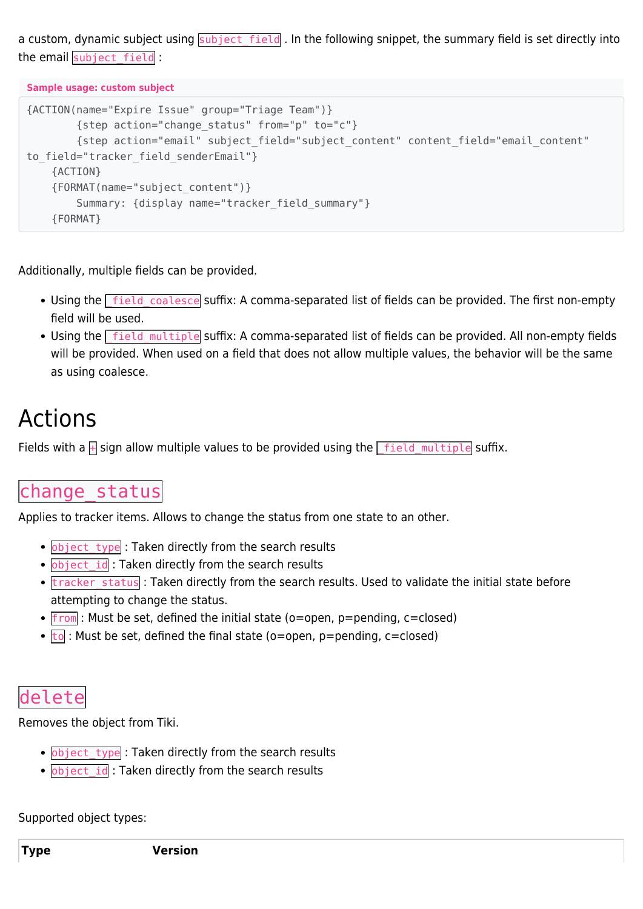a custom, dynamic subject using subject\_field. In the following snippet, the summary field is set directly into the email subject field :

**Sample usage: custom subject**

```
{ACTION(name="Expire Issue" group="Triage Team")}
         {step action="change_status" from="p" to="c"}
         {step action="email" subject_field="subject_content" content_field="email_content"
to field="tracker field senderEmail"}
     {ACTION}
     {FORMAT(name="subject_content")}
         Summary: {display name="tracker_field_summary"}
     {FORMAT}
```
Additionally, multiple fields can be provided.

- Using the **field coalesce** suffix: A comma-separated list of fields can be provided. The first non-empty field will be used.
- Using the  $\sqrt{\frac{field}}$  multiple suffix: A comma-separated list of fields can be provided. All non-empty fields will be provided. When used on a field that does not allow multiple values, the behavior will be the same as using coalesce.

## Actions

Fields with a  $\frac{1}{\sqrt{2}}$  sign allow multiple values to be provided using the  $\frac{1}{\sqrt{2}}$  field multiple suffix.

## change\_status

Applies to tracker items. Allows to change the status from one state to an other.

- object type : Taken directly from the search results
- **object\_id** : Taken directly from the search results
- tracker status : Taken directly from the search results. Used to validate the initial state before attempting to change the status.
- $\bullet$  from: Must be set, defined the initial state (o=open, p=pending, c=closed)
- $\bullet$   $\overline{\text{to}}$  : Must be set, defined the final state (o=open, p=pending, c=closed)

## delete

Removes the object from Tiki.

- object type : Taken directly from the search results
- . object id: Taken directly from the search results

Supported object types: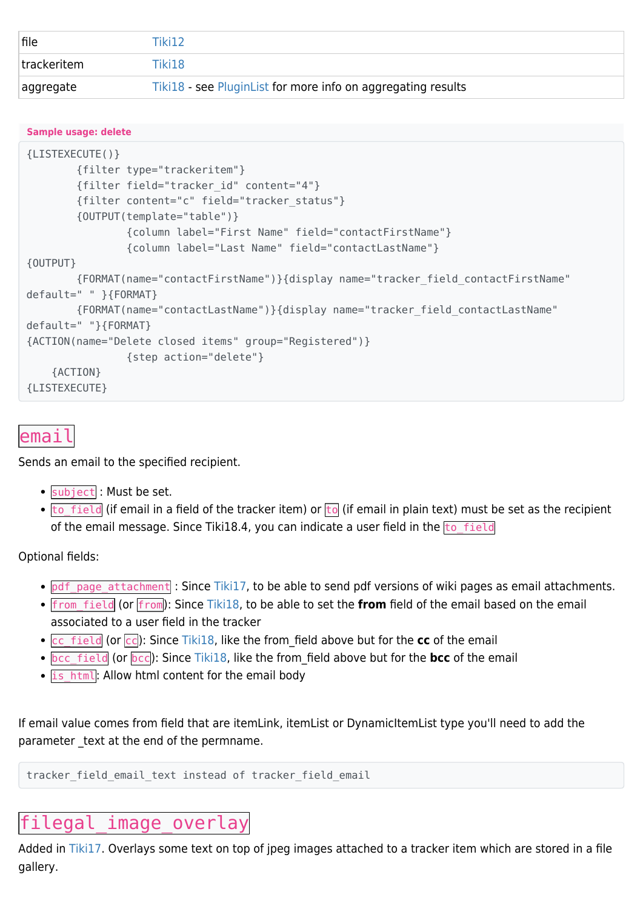| file        | Tiki12                                                       |
|-------------|--------------------------------------------------------------|
| trackeritem | Tiki18                                                       |
| aggregate   | Tiki18 - see PluginList for more info on aggregating results |

#### **Sample usage: delete**

```
{LISTEXECUTE()}
         {filter type="trackeritem"}
         {filter field="tracker_id" content="4"}
         {filter content="c" field="tracker_status"}
         {OUTPUT(template="table")}
                 {column label="First Name" field="contactFirstName"}
                 {column label="Last Name" field="contactLastName"}
{OUTPUT}
         {FORMAT(name="contactFirstName")}{display name="tracker_field_contactFirstName"
default=" " }{FORMAT}
         {FORMAT(name="contactLastName")}{display name="tracker_field_contactLastName"
default=" "}{FORMAT}
{ACTION(name="Delete closed items" group="Registered")}
                 {step action="delete"}
     {ACTION}
{LISTEXECUTE}
```
### email

Sends an email to the specified recipient.

- subject : Must be set.
- $\bullet$  to field (if email in a field of the tracker item) or to (if email in plain text) must be set as the recipient of the email message. Since Tiki18.4, you can indicate a user field in the  $\frac{1}{10}$  field

Optional fields:

- pdf page attachment : Since [Tiki17](https://doc.tiki.org/Tiki17), to be able to send pdf versions of wiki pages as email attachments.
- from\_field (or from): Since [Tiki18,](https://doc.tiki.org/Tiki18) to be able to set the **from** field of the email based on the email associated to a user field in the tracker
- cc field (or cc): Since [Tiki18](https://doc.tiki.org/Tiki18), like the from field above but for the cc of the email
- **bcc** field (or **bcc**): Since [Tiki18](https://doc.tiki.org/Tiki18), like the from field above but for the **bcc** of the email
- is html: Allow html content for the email body

If email value comes from field that are itemLink, itemList or DynamicItemList type you'll need to add the parameter text at the end of the permname.

```
tracker field email text instead of tracker field email
```
## filegal image overlay

Added in [Tiki17.](https://doc.tiki.org/Tiki17) Overlays some text on top of jpeg images attached to a tracker item which are stored in a file gallery.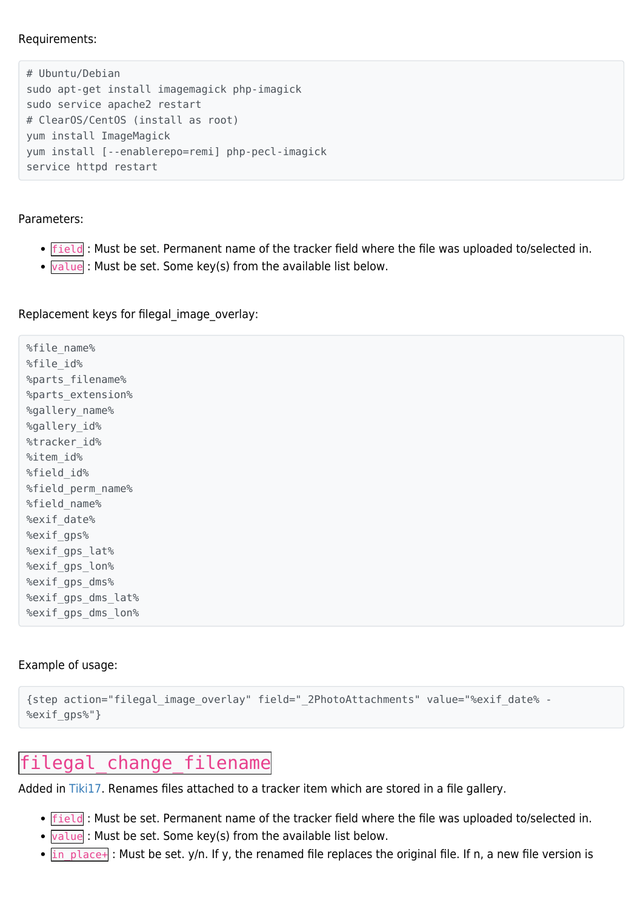Requirements:

```
# Ubuntu/Debian
sudo apt-get install imagemagick php-imagick
sudo service apache2 restart
# ClearOS/CentOS (install as root)
yum install ImageMagick
yum install [--enablerepo=remi] php-pecl-imagick
service httpd restart
```
#### Parameters:

- Field: Must be set. Permanent name of the tracker field where the file was uploaded to/selected in.
- $\bullet$   $\overline{\text{value}}$  : Must be set. Some key(s) from the available list below.

Replacement keys for filegal image overlay:

%file\_name% %file\_id% %parts\_filename% %parts\_extension% %gallery\_name% %gallery\_id% %tracker\_id% %item\_id% %field id% %field\_perm\_name% %field\_name% %exif\_date% %exif\_gps% %exif qps lat% %exif qps lon% %exif\_gps\_dms% %exif gps dms lat% %exif gps dms lon%

#### Example of usage:

```
{step action="filegal_image_overlay" field="_2PhotoAttachments" value="%exif_date% -
%exif_gps%"}
```
## filegal change filename

Added in [Tiki17.](https://doc.tiki.org/Tiki17) Renames files attached to a tracker item which are stored in a file gallery.

- **•** Field : Must be set. Permanent name of the tracker field where the file was uploaded to/selected in.
- **Value**: Must be set. Some key(s) from the available list below.
- $\cdot$  in place+ : Must be set. y/n. If y, the renamed file replaces the original file. If n, a new file version is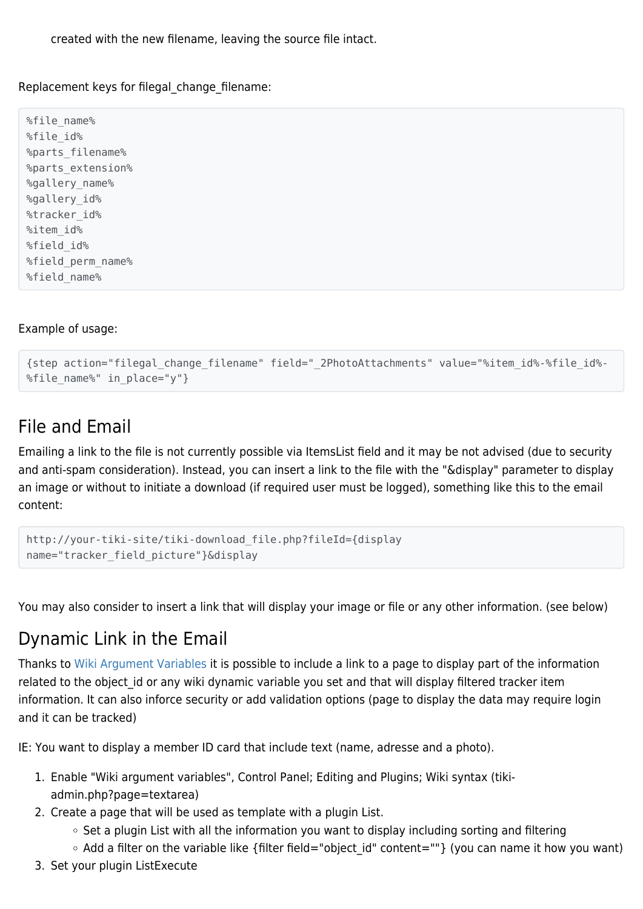created with the new filename, leaving the source file intact.

Replacement keys for filegal\_change\_filename:

%file\_name% %file\_id% %parts\_filename% %parts\_extension% %gallery\_name% %gallery id% %tracker\_id% %item\_id% %field id% %field\_perm\_name% %field\_name%

#### Example of usage:

```
{step action="filegal_change_filename" field="_2PhotoAttachments" value="%item_id%-%file_id%-
%file_name%" in_place="y"}
```
## File and Email

Emailing a link to the file is not currently possible via ItemsList field and it may be not advised (due to security and anti-spam consideration). Instead, you can insert a link to the file with the "&display" parameter to display an image or without to initiate a download (if required user must be logged), something like this to the email content:

```
http://your-tiki-site/tiki-download_file.php?fileId={display
name="tracker field picture"}&display
```
You may also consider to insert a link that will display your image or file or any other information. (see below)

## Dynamic Link in the Email

Thanks to [Wiki Argument Variables](https://doc.tiki.org/Wiki-Argument-Variables) it is possible to include a link to a page to display part of the information related to the object id or any wiki dynamic variable you set and that will display filtered tracker item information. It can also inforce security or add validation options (page to display the data may require login and it can be tracked)

IE: You want to display a member ID card that include text (name, adresse and a photo).

- 1. Enable "Wiki argument variables", Control Panel; Editing and Plugins; Wiki syntax (tikiadmin.php?page=textarea)
- 2. Create a page that will be used as template with a plugin List.
	- $\circ$  Set a plugin List with all the information you want to display including sorting and filtering
	- Add a filter on the variable like {filter field="object\_id" content=""} (you can name it how you want)
- 3. Set your plugin ListExecute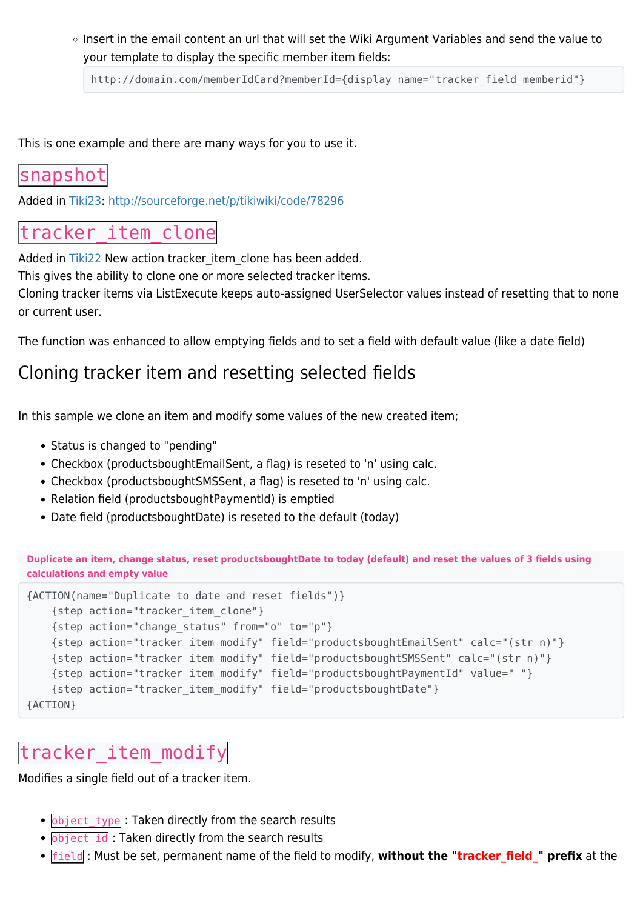$\circ$  Insert in the email content an url that will set the Wiki Argument Variables and send the value to your template to display the specific member item fields:

http://domain.com/memberIdCard?memberId={display name="tracker field memberid"}

This is one example and there are many ways for you to use it.

### snapshot

Added in [Tiki23:](https://doc.tiki.org/Tiki23)<http://sourceforge.net/p/tikiwiki/code/78296>

## tracker item clone

Added in [Tiki22](https://doc.tiki.org/Tiki22) New action tracker item clone has been added.

This gives the ability to clone one or more selected tracker items.

Cloning tracker items via ListExecute keeps auto-assigned UserSelector values instead of resetting that to none or current user.

The function was enhanced to allow emptying fields and to set a field with default value (like a date field)

### Cloning tracker item and resetting selected fields

In this sample we clone an item and modify some values of the new created item;

- Status is changed to "pending"
- Checkbox (productsboughtEmailSent, a flag) is reseted to 'n' using calc.
- Checkbox (productsboughtSMSSent, a flag) is reseted to 'n' using calc.
- Relation field (productsboughtPaymentId) is emptied
- Date field (productsboughtDate) is reseted to the default (today)

**Duplicate an item, change status, reset productsboughtDate to today (default) and reset the values of 3 fields using calculations and empty value**

```
{ACTION(name="Duplicate to date and reset fields")}
    {step action="tracker_item_clone"}
    {step action="change_status" from="o" to="p"}
    {step action="tracker_item_modify" field="productsboughtEmailSent" calc="(str n)"}
    {step action="tracker_item_modify" field="productsboughtSMSSent" calc="(str n)"}
    {step action="tracker_item_modify" field="productsboughtPaymentId" value=" "}
    {step action="tracker_item_modify" field="productsboughtDate"}
{ACTION}
```
### tracker\_item\_modify

Modifies a single field out of a tracker item.

- . object type : Taken directly from the search results
- . object id: Taken directly from the search results
- **field** : Must be set, permanent name of the field to modify, without the "tracker field " prefix at the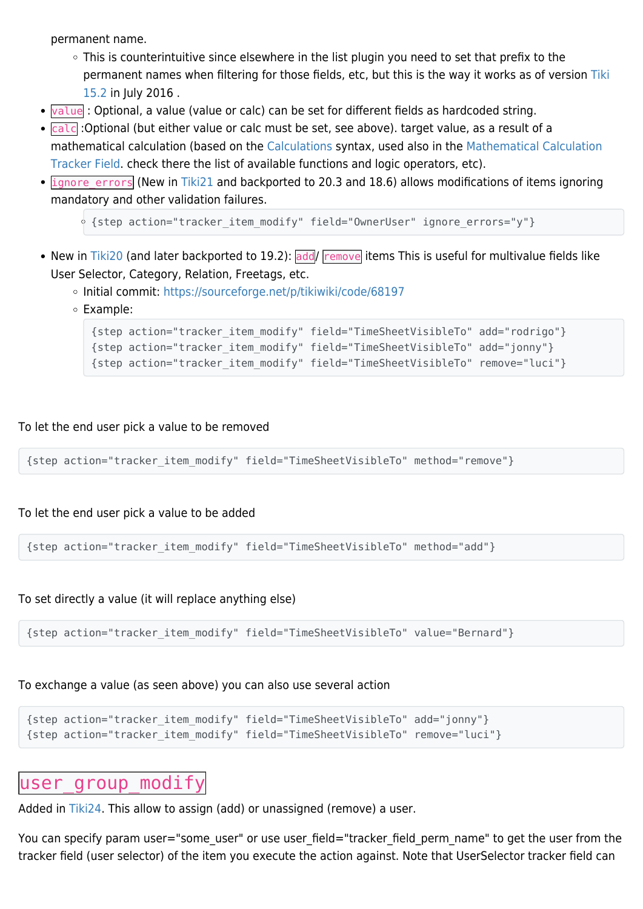permanent name.

- This is counterintuitive since elsewhere in the list plugin you need to set that prefix to the permanent names when filtering for those fields, etc, but this is the way it works as of version [Tiki](https://doc.tiki.org/Tiki15) [15.2](https://doc.tiki.org/Tiki15) in July 2016 .
- value : Optional, a value (value or calc) can be set for different fields as hardcoded string.
- calc :Optional (but either value or calc must be set, see above). target value, as a result of a mathematical calculation (based on the [Calculations](https://doc.tiki.org/Calculations) syntax, used also in the [Mathematical Calculation](https://doc.tiki.org/Mathematical-Calculation-Tracker-Field) [Tracker Field](https://doc.tiki.org/Mathematical-Calculation-Tracker-Field). check there the list of available functions and logic operators, etc).
- ignore errors (New in [Tiki21](https://doc.tiki.org/Tiki21) and backported to 20.3 and 18.6) allows modifications of items ignoring mandatory and other validation failures.

```
<sup>o</sup> {step action="tracker item modify" field="OwnerUser" ignore errors="y"}
```
- New in [Tiki20](https://doc.tiki.org/Tiki20) (and later backported to 19.2): add/ remove items This is useful for multivalue fields like User Selector, Category, Relation, Freetags, etc.
	- o Initial commit: <https://sourceforge.net/p/tikiwiki/code/68197>
	- Example:

```
{step action="tracker_item_modify" field="TimeSheetVisibleTo" add="rodrigo"}
{step action="tracker_item_modify" field="TimeSheetVisibleTo" add="jonny"}
{step action="tracker_item_modify" field="TimeSheetVisibleTo" remove="luci"}
```
To let the end user pick a value to be removed

```
{step action="tracker_item_modify" field="TimeSheetVisibleTo" method="remove"}
```
To let the end user pick a value to be added

{step action="tracker\_item\_modify" field="TimeSheetVisibleTo" method="add"}

To set directly a value (it will replace anything else)

{step action="tracker\_item\_modify" field="TimeSheetVisibleTo" value="Bernard"}

To exchange a value (as seen above) you can also use several action

```
{step action="tracker_item_modify" field="TimeSheetVisibleTo" add="jonny"}
{step action="tracker_item_modify" field="TimeSheetVisibleTo" remove="luci"}
```
### user group modify

Added in [Tiki24.](https://doc.tiki.org/Tiki24) This allow to assign (add) or unassigned (remove) a user.

You can specify param user="some user" or use user field="tracker field perm name" to get the user from the tracker field (user selector) of the item you execute the action against. Note that UserSelector tracker field can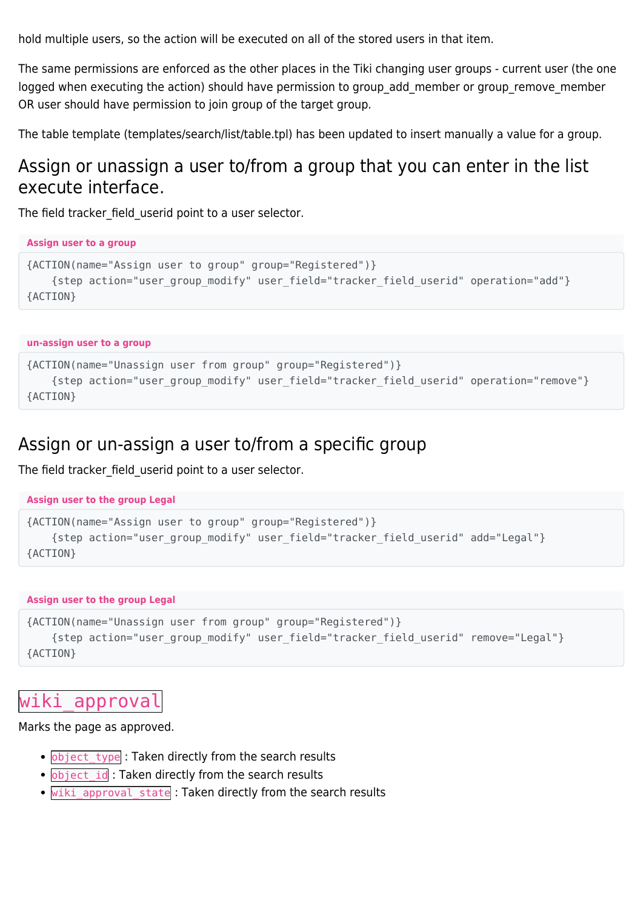hold multiple users, so the action will be executed on all of the stored users in that item.

The same permissions are enforced as the other places in the Tiki changing user groups - current user (the one logged when executing the action) should have permission to group add member or group remove member OR user should have permission to join group of the target group.

The table template (templates/search/list/table.tpl) has been updated to insert manually a value for a group.

## Assign or unassign a user to/from a group that you can enter in the list execute interface.

The field tracker field userid point to a user selector.

```
Assign user to a group
{ACTION(name="Assign user to group" group="Registered")}
     {step action="user_group_modify" user_field="tracker_field_userid" operation="add"}
{ACTION}
```
#### **un-assign user to a group**

```
{ACTION(name="Unassign user from group" group="Registered")}
     {step action="user_group_modify" user_field="tracker_field_userid" operation="remove"}
{ACTION}
```
### Assign or un-assign a user to/from a specific group

The field tracker field userid point to a user selector.

```
Assign user to the group Legal
```

```
{ACTION(name="Assign user to group" group="Registered")}
     {step action="user_group_modify" user_field="tracker_field_userid" add="Legal"}
{ACTION}
```
#### **Assign user to the group Legal**

```
{ACTION(name="Unassign user from group" group="Registered")}
     {step action="user_group_modify" user_field="tracker_field_userid" remove="Legal"}
{ACTION}
```
## wiki approval

Marks the page as approved.

- object\_type : Taken directly from the search results
- · **object\_id** : Taken directly from the search results
- . wiki approval state : Taken directly from the search results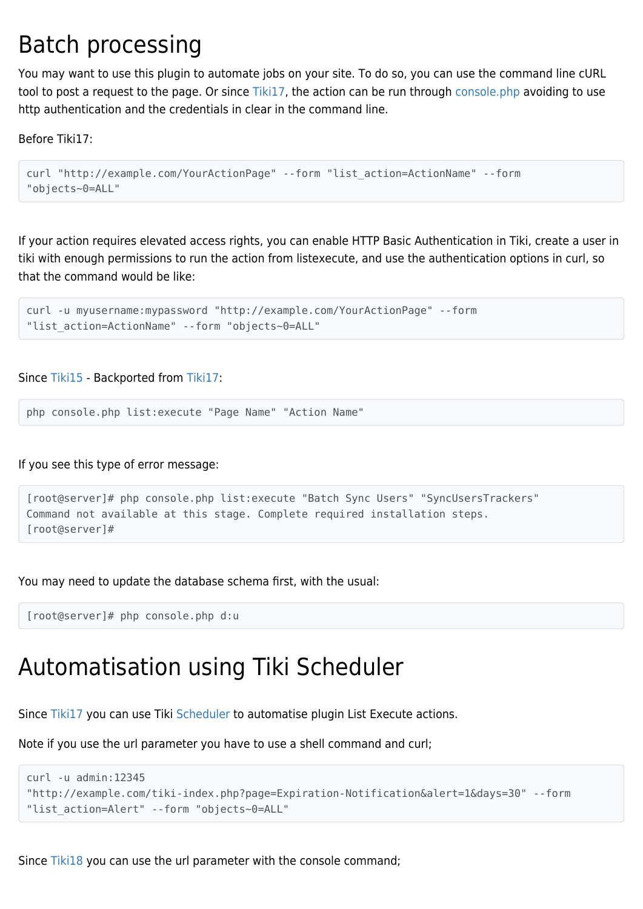## Batch processing

You may want to use this plugin to automate jobs on your site. To do so, you can use the command line cURL tool to post a request to the page. Or since [Tiki17,](https://doc.tiki.org/Tiki17) the action can be run through [console.php](https://doc.tiki.org/Console) avoiding to use http authentication and the credentials in clear in the command line.

Before Tiki17:

```
curl "http://example.com/YourActionPage" --form "list_action=ActionName" --form
"objects~0=ALL"
```
If your action requires elevated access rights, you can enable HTTP Basic Authentication in Tiki, create a user in tiki with enough permissions to run the action from listexecute, and use the authentication options in curl, so that the command would be like:

```
curl -u myusername:mypassword "http://example.com/YourActionPage" --form
"list_action=ActionName" --form "objects~0=ALL"
```
Since [Tiki15](https://doc.tiki.org/Tiki15) - Backported from [Tiki17:](https://doc.tiki.org/Tiki17)

php console.php list:execute "Page Name" "Action Name"

If you see this type of error message:

```
[root@server]# php console.php list:execute "Batch Sync Users" "SyncUsersTrackers"
Command not available at this stage. Complete required installation steps.
[root@server]#
```
You may need to update the database schema first, with the usual:

[root@server]# php console.php d:u

## Automatisation using Tiki Scheduler

Since [Tiki17](https://doc.tiki.org/Tiki17) you can use Tiki [Scheduler](https://doc.tiki.org/Scheduler) to automatise plugin List Execute actions.

Note if you use the url parameter you have to use a shell command and curl;

```
curl -u admin:12345
"http://example.com/tiki-index.php?page=Expiration-Notification&alert=1&days=30" --form
"list action=Alert" --form "objects~0=ALL"
```
Since [Tiki18](https://doc.tiki.org/Tiki18) you can use the url parameter with the console command;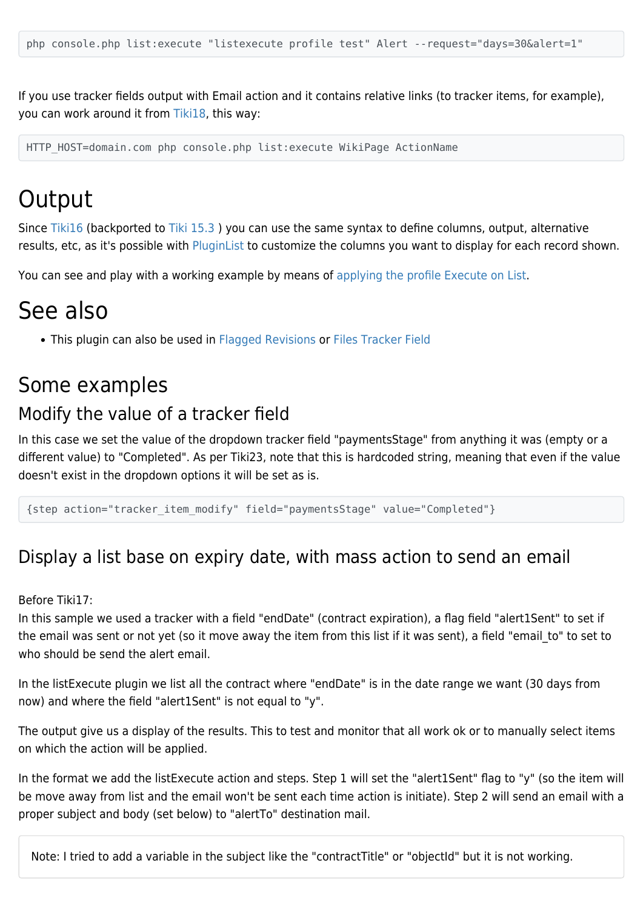If you use tracker fields output with Email action and it contains relative links (to tracker items, for example), you can work around it from [Tiki18,](https://doc.tiki.org/Tiki18) this way:

HTTP HOST=domain.com php console.php list:execute WikiPage ActionName

## **Output**

Since [Tiki16](https://doc.tiki.org/Tiki16) (backported to [Tiki 15.3](https://doc.tiki.org/Tiki15) ) you can use the same syntax to define columns, output, alternative results, etc, as it's possible with [PluginList](https://doc.tiki.org/PluginList) to customize the columns you want to display for each record shown.

You can see and play with a working example by means of [applying the profile](https://doc.tiki.org/Profiles) [Execute on List](http://profiles.tiki.org/Execute%20on%20List).

## See also

This plugin can also be used in [Flagged Revisions](https://doc.tiki.org/Flagged-Revisions) or [Files Tracker Field](https://doc.tiki.org/Files-Tracker-Field)

## Some examples

## Modify the value of a tracker field

In this case we set the value of the dropdown tracker field "paymentsStage" from anything it was (empty or a different value) to "Completed". As per Tiki23, note that this is hardcoded string, meaning that even if the value doesn't exist in the dropdown options it will be set as is.

{step action="tracker\_item\_modify" field="paymentsStage" value="Completed"}

## Display a list base on expiry date, with mass action to send an email

Before Tiki17:

In this sample we used a tracker with a field "endDate" (contract expiration), a flag field "alert1Sent" to set if the email was sent or not yet (so it move away the item from this list if it was sent), a field "email to" to set to who should be send the alert email.

In the listExecute plugin we list all the contract where "endDate" is in the date range we want (30 days from now) and where the field "alert1Sent" is not equal to "y".

The output give us a display of the results. This to test and monitor that all work ok or to manually select items on which the action will be applied.

In the format we add the listExecute action and steps. Step 1 will set the "alert1Sent" flag to "y" (so the item will be move away from list and the email won't be sent each time action is initiate). Step 2 will send an email with a proper subject and body (set below) to "alertTo" destination mail.

Note: I tried to add a variable in the subject like the "contractTitle" or "objectId" but it is not working.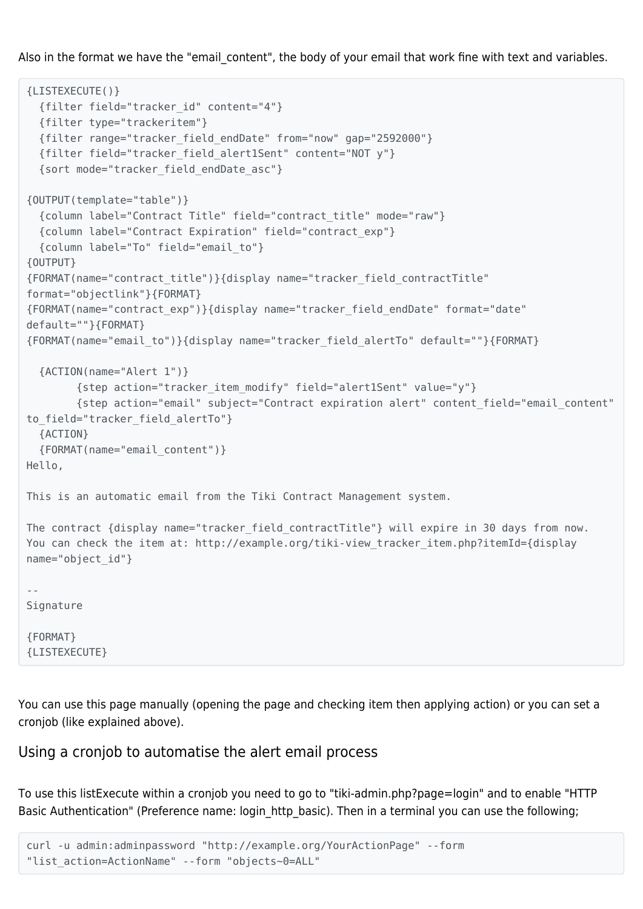Also in the format we have the "email content", the body of your email that work fine with text and variables.

```
{LISTEXECUTE()}
  {filter field="tracker_id" content="4"}
  {filter type="trackeritem"}
  {filter range="tracker_field_endDate" from="now" gap="2592000"}
  {filter field="tracker_field_alert1Sent" content="NOT y"}
  {sort mode="tracker_field_endDate_asc"}
{OUTPUT(template="table")}
  {column label="Contract Title" field="contract_title" mode="raw"}
  {column label="Contract Expiration" field="contract_exp"}
  {column label="To" field="email_to"}
{OUTPUT}
{FORMAT(name="contract_title")}{display name="tracker_field_contractTitle"
format="objectlink"}{FORMAT}
{FORMAT(name="contract_exp")}{display name="tracker_field_endDate" format="date"
default=""}{FORMAT}
{FORMAT(name="email_to")}{display name="tracker_field_alertTo" default=""}{FORMAT}
  {ACTION(name="Alert 1")}
         {step action="tracker_item_modify" field="alert1Sent" value="y"}
         {step action="email" subject="Contract expiration alert" content_field="email_content"
to_field="tracker_field_alertTo"}
  {ACTION}
  {FORMAT(name="email_content")}
Hello,
This is an automatic email from the Tiki Contract Management system.
The contract {display name="tracker field contractTitle"} will expire in 30 days from now.
You can check the item at: http://example.org/tiki-view tracker item.php?itemId={display
name="object_id"}
--
Signature
{FORMAT}
{LISTEXECUTE}
```
You can use this page manually (opening the page and checking item then applying action) or you can set a cronjob (like explained above).

#### Using a cronjob to automatise the alert email process

To use this listExecute within a cronjob you need to go to "tiki-admin.php?page=login" and to enable "HTTP Basic Authentication" (Preference name: login http basic). Then in a terminal you can use the following;

```
curl -u admin:adminpassword "http://example.org/YourActionPage" --form
"list_action=ActionName" --form "objects~0=ALL"
```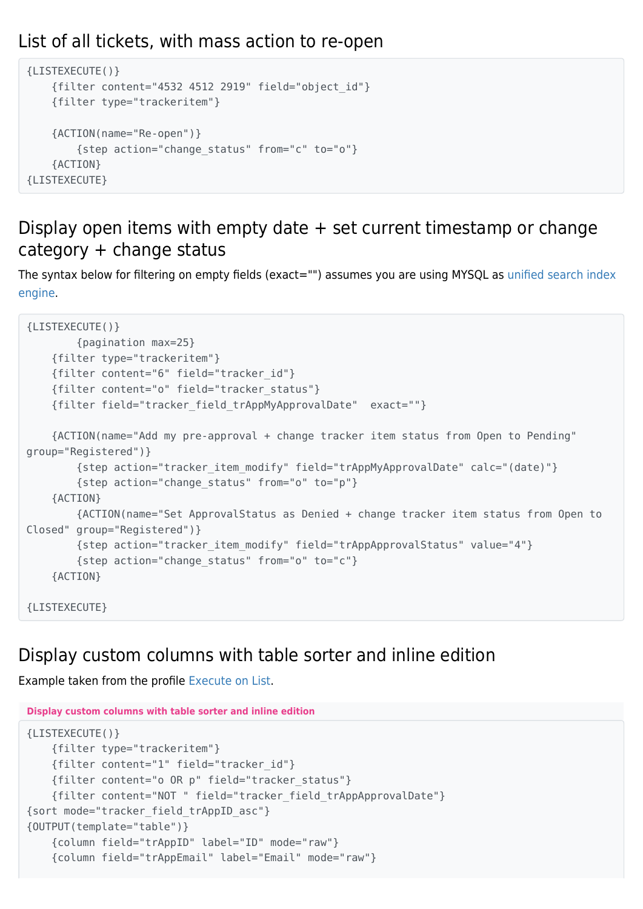## List of all tickets, with mass action to re-open

```
{LISTEXECUTE()}
     {filter content="4532 4512 2919" field="object_id"}
     {filter type="trackeritem"}
     {ACTION(name="Re-open")}
         {step action="change_status" from="c" to="o"}
     {ACTION}
{LISTEXECUTE}
```
### Display open items with empty date + set current timestamp or change category + change status

The syntax below for filtering on empty fields (exact="") assumes you are using MYSQL as [unified search index](https://doc.tiki.org/Search-and-List-from-Unified-Index) [engine.](https://doc.tiki.org/Search-and-List-from-Unified-Index)

```
{LISTEXECUTE()}
         {pagination max=25}
     {filter type="trackeritem"}
     {filter content="6" field="tracker_id"}
     {filter content="o" field="tracker_status"}
     {filter field="tracker_field_trAppMyApprovalDate" exact=""}
     {ACTION(name="Add my pre-approval + change tracker item status from Open to Pending"
group="Registered")}
         {step action="tracker_item_modify" field="trAppMyApprovalDate" calc="(date)"}
         {step action="change_status" from="o" to="p"}
     {ACTION}
         {ACTION(name="Set ApprovalStatus as Denied + change tracker item status from Open to
Closed" group="Registered")}
         {step action="tracker_item_modify" field="trAppApprovalStatus" value="4"}
         {step action="change_status" from="o" to="c"}
     {ACTION}
{LISTEXECUTE}
```
## Display custom columns with table sorter and inline edition

Example taken from the profile [Execute on List.](http://profiles.tiki.org/Execute%20on%20List)

```
Display custom columns with table sorter and inline edition
{LISTEXECUTE()}
    {filter type="trackeritem"}
     {filter content="1" field="tracker_id"}
     {filter content="o OR p" field="tracker_status"}
     {filter content="NOT " field="tracker_field_trAppApprovalDate"}
{sort mode="tracker_field_trAppID_asc"}
{OUTPUT(template="table")}
     {column field="trAppID" label="ID" mode="raw"}
     {column field="trAppEmail" label="Email" mode="raw"}
```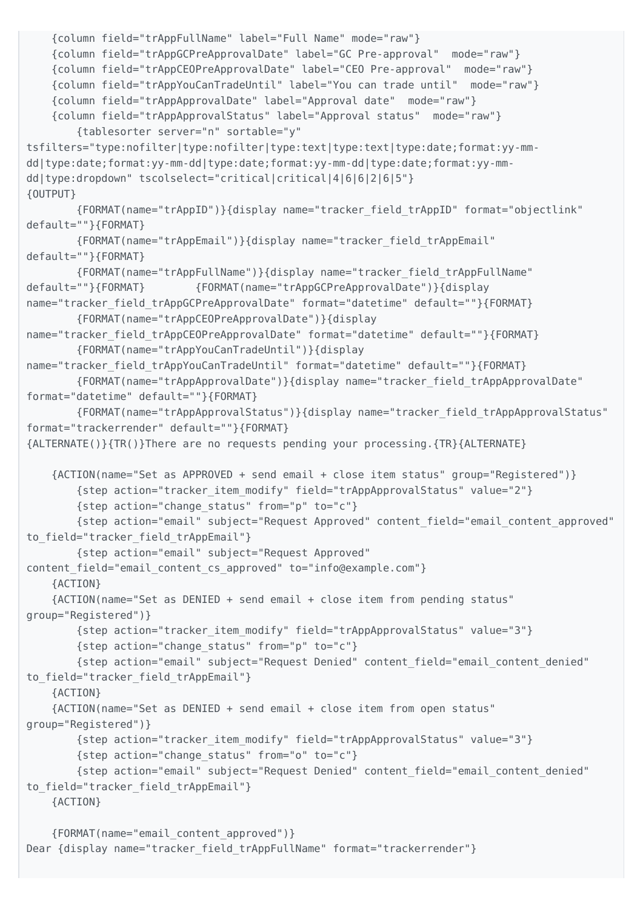```
 {column field="trAppFullName" label="Full Name" mode="raw"}
     {column field="trAppGCPreApprovalDate" label="GC Pre-approval" mode="raw"}
     {column field="trAppCEOPreApprovalDate" label="CEO Pre-approval" mode="raw"}
     {column field="trAppYouCanTradeUntil" label="You can trade until" mode="raw"}
     {column field="trAppApprovalDate" label="Approval date" mode="raw"}
     {column field="trAppApprovalStatus" label="Approval status" mode="raw"}
         {tablesorter server="n" sortable="y"
tsfilters="type:nofilter|type:nofilter|type:text|type:text|type:date;format:yy-mm-
dd|type:date;format:yy-mm-dd|type:date;format:yy-mm-dd|type:date;format:yy-mm-
dd|type:dropdown" tscolselect="critical|critical|4|6|6|2|6|5"}
{OUTPUT}
         {FORMAT(name="trAppID")}{display name="tracker_field_trAppID" format="objectlink"
default=""}{FORMAT}
        {FORMAT(name="trAppEmail")}{display name="tracker_field_trAppEmail"
default=""}{FORMAT}
         {FORMAT(name="trAppFullName")}{display name="tracker_field_trAppFullName"
default=""}{FORMAT} {FORMAT(name="trAppGCPreApprovalDate")}{display
name="tracker_field_trAppGCPreApprovalDate" format="datetime" default=""}{FORMAT}
         {FORMAT(name="trAppCEOPreApprovalDate")}{display
name="tracker field trAppCEOPreApprovalDate" format="datetime" default=""}{FORMAT}
         {FORMAT(name="trAppYouCanTradeUntil")}{display
name="tracker field trAppYouCanTradeUntil" format="datetime" default=""}{FORMAT}
         {FORMAT(name="trAppApprovalDate")}{display name="tracker_field_trAppApprovalDate"
format="datetime" default=""}{FORMAT}
         {FORMAT(name="trAppApprovalStatus")}{display name="tracker_field_trAppApprovalStatus"
format="trackerrender" default=""}{FORMAT}
{ALTERNATE()}{TR()}There are no requests pending your processing.{TR}{ALTERNATE}
     {ACTION(name="Set as APPROVED + send email + close item status" group="Registered")}
         {step action="tracker_item_modify" field="trAppApprovalStatus" value="2"}
         {step action="change_status" from="p" to="c"}
         {step action="email" subject="Request Approved" content_field="email_content_approved"
to field="tracker field trAppEmail"}
         {step action="email" subject="Request Approved"
content_field="email_content_cs_approved" to="info@example.com"}
     {ACTION}
     {ACTION(name="Set as DENIED + send email + close item from pending status"
group="Registered")}
         {step action="tracker_item_modify" field="trAppApprovalStatus" value="3"}
         {step action="change_status" from="p" to="c"}
         {step action="email" subject="Request Denied" content_field="email_content_denied"
to field="tracker field trAppEmail"}
     {ACTION}
     {ACTION(name="Set as DENIED + send email + close item from open status"
group="Registered")}
         {step action="tracker_item_modify" field="trAppApprovalStatus" value="3"}
         {step action="change_status" from="o" to="c"}
         {step action="email" subject="Request Denied" content_field="email_content_denied"
to field="tracker field trAppEmail"}
    {ACTION}
     {FORMAT(name="email_content_approved")}
Dear {display name="tracker_field_trAppFullName" format="trackerrender"}
```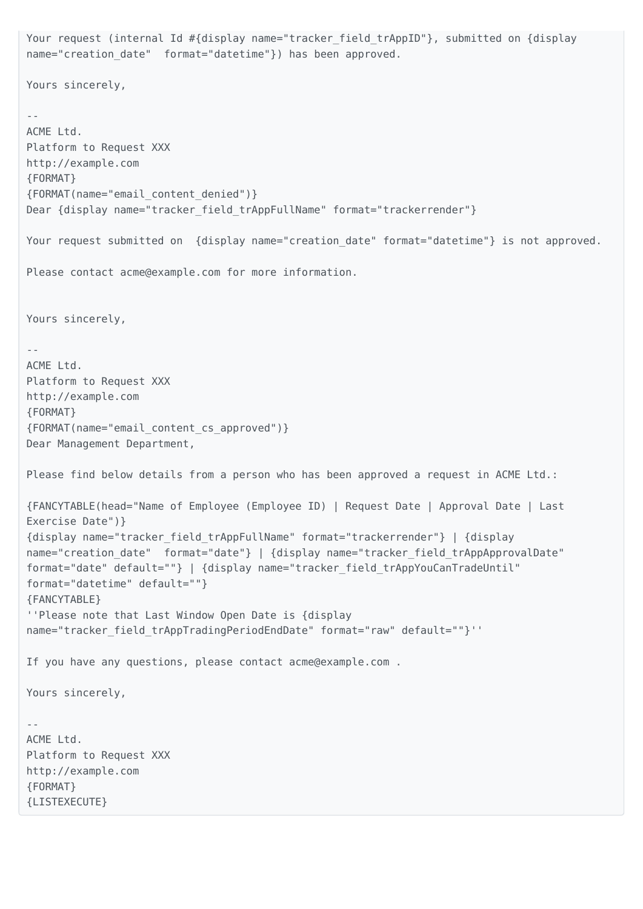```
Your request (internal Id #{display name="tracker field trAppID"}, submitted on {display
name="creation date" format="datetime"}) has been approved.
Yours sincerely,
--
ACME Ltd.
Platform to Request XXX
http://example.com
{FORMAT}
{FORMAT(name="email_content_denied")}
Dear {display name="tracker_field_trAppFullName" format="trackerrender"}
Your request submitted on {display name="creation_date" format="datetime"} is not approved.
Please contact acme@example.com for more information.
Yours sincerely,
--
ACME Ltd.
Platform to Request XXX
http://example.com
{FORMAT}
{FORMAT(name="email_content_cs_approved")}
Dear Management Department,
Please find below details from a person who has been approved a request in ACME Ltd.:
{FANCYTABLE(head="Name of Employee (Employee ID) | Request Date | Approval Date | Last
Exercise Date")}
{display name="tracker_field_trAppFullName" format="trackerrender"} | {display
name="creation date" format="date"} | {display name="tracker field trAppApprovalDate"
format="date" default=""} | {display name="tracker_field_trAppYouCanTradeUntil"
format="datetime" default=""}
{FANCYTABLE}
''Please note that Last Window Open Date is {display
name="tracker_field_trAppTradingPeriodEndDate" format="raw" default=""}''
If you have any questions, please contact acme@example.com .
Yours sincerely,
--
ACME Ltd.
Platform to Request XXX
http://example.com
{FORMAT}
{LISTEXECUTE}
```